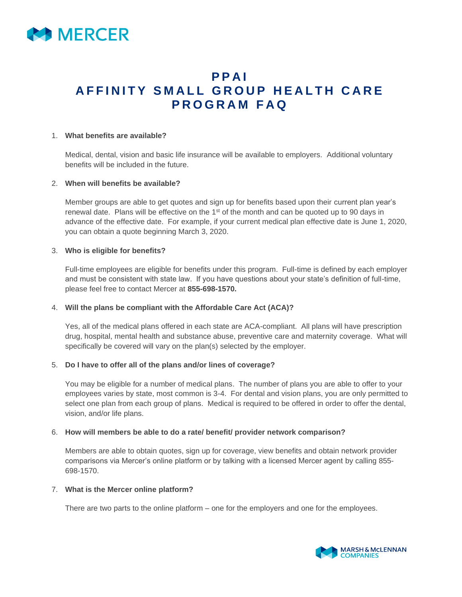

# **P P A I A F F I N I T Y S M A L L G R O U P H E A L T H C A R E P R O G R A M F A Q**

#### 1. **What benefits are available?**

Medical, dental, vision and basic life insurance will be available to employers. Additional voluntary benefits will be included in the future.

#### 2. **When will benefits be available?**

Member groups are able to get quotes and sign up for benefits based upon their current plan year's renewal date. Plans will be effective on the 1<sup>st</sup> of the month and can be quoted up to 90 days in advance of the effective date. For example, if your current medical plan effective date is June 1, 2020, you can obtain a quote beginning March 3, 2020.

### 3. **Who is eligible for benefits?**

Full-time employees are eligible for benefits under this program. Full-time is defined by each employer and must be consistent with state law. If you have questions about your state's definition of full-time, please feel free to contact Mercer at **855-698-1570.**

### 4. **Will the plans be compliant with the Affordable Care Act (ACA)?**

Yes, all of the medical plans offered in each state are ACA-compliant. All plans will have prescription drug, hospital, mental health and substance abuse, preventive care and maternity coverage. What will specifically be covered will vary on the plan(s) selected by the employer.

### 5. **Do I have to offer all of the plans and/or lines of coverage?**

You may be eligible for a number of medical plans. The number of plans you are able to offer to your employees varies by state, most common is 3-4. For dental and vision plans, you are only permitted to select one plan from each group of plans. Medical is required to be offered in order to offer the dental, vision, and/or life plans.

### 6. **How will members be able to do a rate/ benefit/ provider network comparison?**

Members are able to obtain quotes, sign up for coverage, view benefits and obtain network provider comparisons via Mercer's online platform or by talking with a licensed Mercer agent by calling 855- 698-1570.

### 7. **What is the Mercer online platform?**

There are two parts to the online platform – one for the employers and one for the employees.

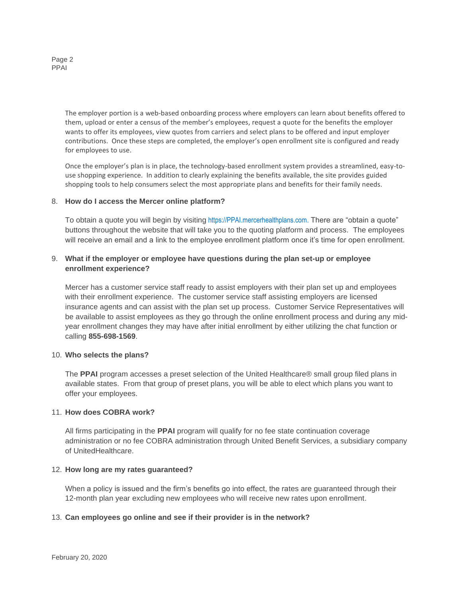Page 2 PPAI

> The employer portion is a web-based onboarding process where employers can learn about benefits offered to them, upload or enter a census of the member's employees, request a quote for the benefits the employer wants to offer its employees, view quotes from carriers and select plans to be offered and input employer contributions. Once these steps are completed, the employer's open enrollment site is configured and ready for employees to use.

> Once the employer's plan is in place, the technology-based enrollment system provides a streamlined, easy-touse shopping experience. In addition to clearly explaining the benefits available, the site provides guided shopping tools to help consumers select the most appropriate plans and benefits for their family needs.

## 8. **How do I access the Mercer online platform?**

To obtain a quote you will begin by visiting https://PPAI.mercerhealthplans.com. There are "obtain a quote" buttons throughout the website that will take you to the quoting platform and process. The employees will receive an email and a link to the employee enrollment platform once it's time for open enrollment.

## 9. **What if the employer or employee have questions during the plan set-up or employee enrollment experience?**

Mercer has a customer service staff ready to assist employers with their plan set up and employees with their enrollment experience. The customer service staff assisting employers are licensed insurance agents and can assist with the plan set up process. Customer Service Representatives will be available to assist employees as they go through the online enrollment process and during any midyear enrollment changes they may have after initial enrollment by either utilizing the chat function or calling **855-698-1569**.

### 10. **Who selects the plans?**

The **PPAI** program accesses a preset selection of the United Healthcare® small group filed plans in available states. From that group of preset plans, you will be able to elect which plans you want to offer your employees.

### 11. **How does COBRA work?**

All firms participating in the **PPAI** program will qualify for no fee state continuation coverage administration or no fee COBRA administration through United Benefit Services, a subsidiary company of UnitedHealthcare.

### 12. **How long are my rates guaranteed?**

When a policy is issued and the firm's benefits go into effect, the rates are guaranteed through their 12-month plan year excluding new employees who will receive new rates upon enrollment.

### 13. **Can employees go online and see if their provider is in the network?**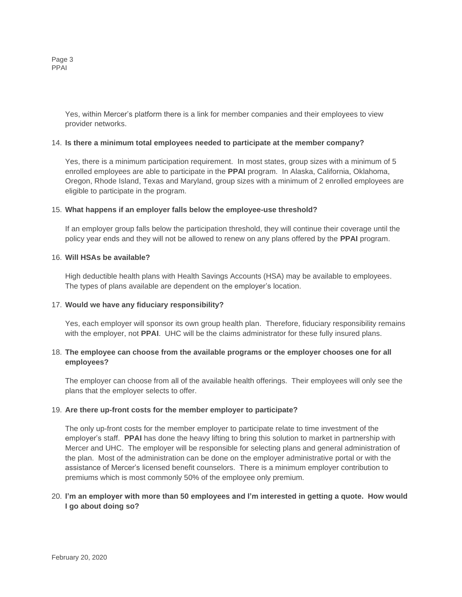Page 3 PPAI

> Yes, within Mercer's platform there is a link for member companies and their employees to view provider networks.

#### 14. **Is there a minimum total employees needed to participate at the member company?**

Yes, there is a minimum participation requirement. In most states, group sizes with a minimum of 5 enrolled employees are able to participate in the **PPAI** program. In Alaska, California, Oklahoma, Oregon, Rhode Island, Texas and Maryland, group sizes with a minimum of 2 enrolled employees are eligible to participate in the program.

#### 15. **What happens if an employer falls below the employee-use threshold?**

If an employer group falls below the participation threshold, they will continue their coverage until the policy year ends and they will not be allowed to renew on any plans offered by the **PPAI** program.

## 16. **Will HSAs be available?**

High deductible health plans with Health Savings Accounts (HSA) may be available to employees. The types of plans available are dependent on the employer's location.

### 17. **Would we have any fiduciary responsibility?**

Yes, each employer will sponsor its own group health plan. Therefore, fiduciary responsibility remains with the employer, not **PPAI**. UHC will be the claims administrator for these fully insured plans.

## 18. **The employee can choose from the available programs or the employer chooses one for all employees?**

The employer can choose from all of the available health offerings. Their employees will only see the plans that the employer selects to offer.

### 19. **Are there up-front costs for the member employer to participate?**

The only up-front costs for the member employer to participate relate to time investment of the employer's staff. **PPAI** has done the heavy lifting to bring this solution to market in partnership with Mercer and UHC. The employer will be responsible for selecting plans and general administration of the plan. Most of the administration can be done on the employer administrative portal or with the assistance of Mercer's licensed benefit counselors. There is a minimum employer contribution to premiums which is most commonly 50% of the employee only premium.

## 20. **I'm an employer with more than 50 employees and I'm interested in getting a quote. How would I go about doing so?**